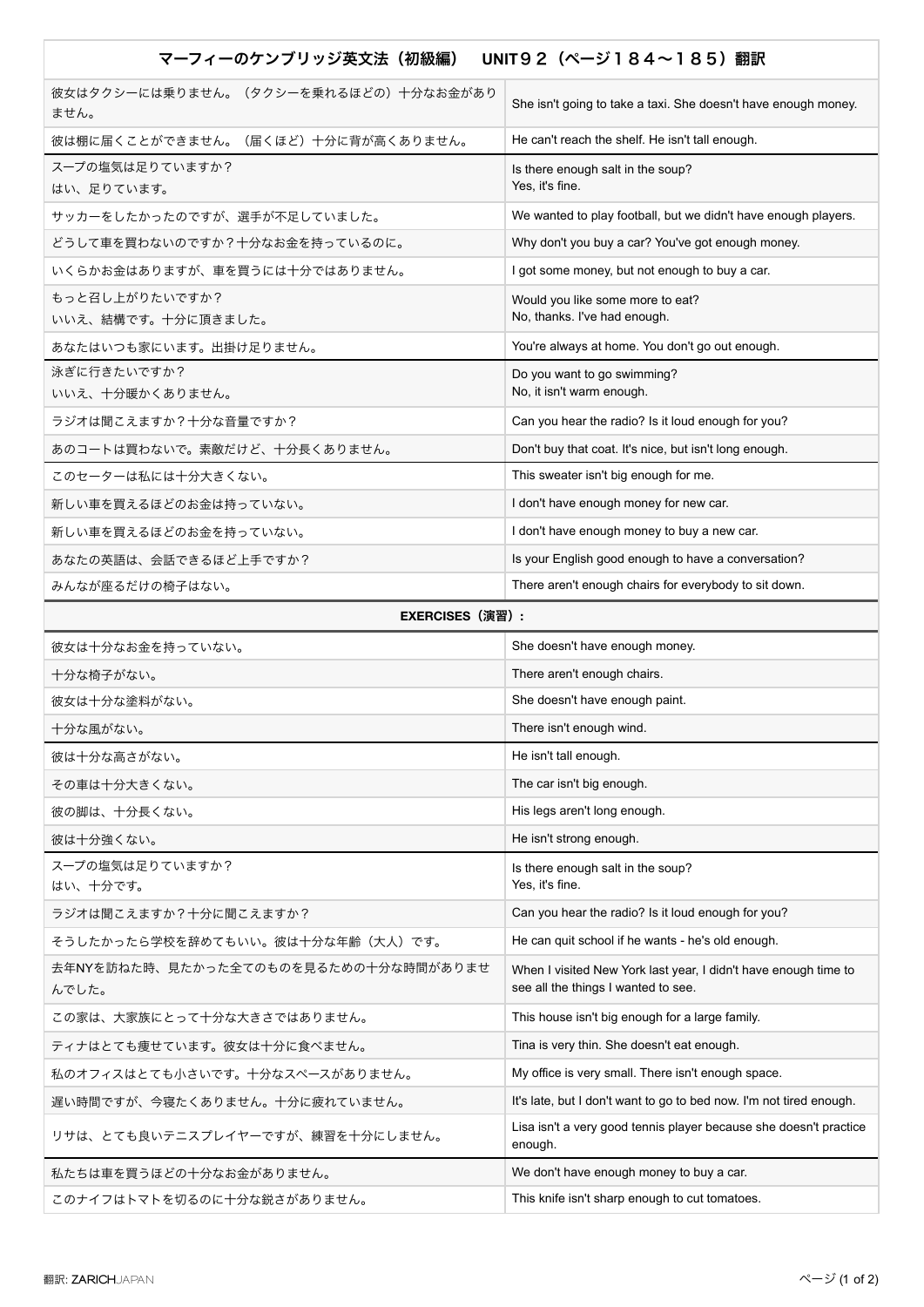| マーフィーのケンブリッジ英文法(初級編)<br>UNIT92 (ページ184~185) 翻訳 |                                                                                                        |
|------------------------------------------------|--------------------------------------------------------------------------------------------------------|
| 彼女はタクシーには乗りません。(タクシーを乗れるほどの)十分なお金があり<br>ません。   | She isn't going to take a taxi. She doesn't have enough money.                                         |
| 彼は棚に届くことができません。(届くほど)十分に背が高くありません。             | He can't reach the shelf. He isn't tall enough.                                                        |
| スープの塩気は足りていますか?<br>はい、足りています。                  | Is there enough salt in the soup?<br>Yes, it's fine.                                                   |
| サッカーをしたかったのですが、選手が不足していました。                    | We wanted to play football, but we didn't have enough players.                                         |
| どうして車を買わないのですか?十分なお金を持っているのに。                  | Why don't you buy a car? You've got enough money.                                                      |
| いくらかお金はありますが、車を買うには十分ではありません。                  | I got some money, but not enough to buy a car.                                                         |
| もっと召し上がりたいですか?<br>いいえ、結構です。十分に頂きました。           | Would you like some more to eat?<br>No, thanks. I've had enough.                                       |
| あなたはいつも家にいます。出掛け足りません。                         | You're always at home. You don't go out enough.                                                        |
| 泳ぎに行きたいですか?<br>いいえ、十分暖かくありません。                 | Do you want to go swimming?<br>No, it isn't warm enough.                                               |
| ラジオは聞こえますか?十分な音量ですか?                           | Can you hear the radio? Is it loud enough for you?                                                     |
| あのコートは買わないで。素敵だけど、十分長くありません。                   | Don't buy that coat. It's nice, but isn't long enough.                                                 |
| このセーターは私には十分大きくない。                             | This sweater isn't big enough for me.                                                                  |
| 新しい車を買えるほどのお金は持っていない。                          | I don't have enough money for new car.                                                                 |
| 新しい車を買えるほどのお金を持っていない。                          | I don't have enough money to buy a new car.                                                            |
| あなたの英語は、会話できるほど上手ですか?                          | Is your English good enough to have a conversation?                                                    |
| みんなが座るだけの椅子はない。                                | There aren't enough chairs for everybody to sit down.                                                  |
| <b>EXERCISES (演習):</b>                         |                                                                                                        |
|                                                |                                                                                                        |
| 彼女は十分なお金を持っていない。                               | She doesn't have enough money.                                                                         |
| 十分な椅子がない。                                      | There aren't enough chairs.                                                                            |
| 彼女は十分な塗料がない。                                   | She doesn't have enough paint.                                                                         |
| 十分な風がない。                                       | There isn't enough wind.                                                                               |
| 彼は十分な高さがない。                                    | He isn't tall enough.                                                                                  |
| その車は十分大きくない。                                   | The car isn't big enough.                                                                              |
| 彼の脚は、十分長くない。                                   | His legs aren't long enough.                                                                           |
| 彼は十分強くない。                                      | He isn't strong enough.                                                                                |
| スープの塩気は足りていますか?<br>はい、十分です。                    | Is there enough salt in the soup?<br>Yes, it's fine.                                                   |
| ラジオは聞こえますか?十分に聞こえますか?                          | Can you hear the radio? Is it loud enough for you?                                                     |
| そうしたかったら学校を辞めてもいい。彼は十分な年齢(大人)です。               | He can quit school if he wants - he's old enough.                                                      |
| 去年NYを訪ねた時、見たかった全てのものを見るための十分な時間がありませ<br>んでした。  | When I visited New York last year, I didn't have enough time to<br>see all the things I wanted to see. |
| この家は、大家族にとって十分な大きさではありません。                     | This house isn't big enough for a large family.                                                        |
| ティナはとても痩せています。彼女は十分に食べません。                     | Tina is very thin. She doesn't eat enough.                                                             |
| 私のオフィスはとても小さいです。十分なスペースがありません。                 | My office is very small. There isn't enough space.                                                     |
| 遅い時間ですが、今寝たくありません。十分に疲れていません。                  | It's late, but I don't want to go to bed now. I'm not tired enough.                                    |
| リサは、とても良いテニスプレイヤーですが、練習を十分にしません。               | Lisa isn't a very good tennis player because she doesn't practice<br>enough.                           |
| 私たちは車を買うほどの十分なお金がありません。                        | We don't have enough money to buy a car.                                                               |